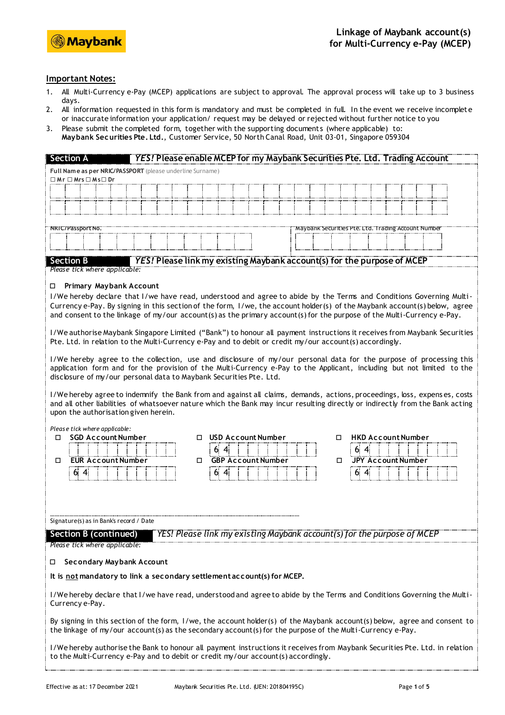

## **Important Notes:**

- 1. All Multi-Currency e-Pay (MCEP) applications are subject to approval. The approval process will take up to 3 business days.
- 2. All information requested in this form is mandatory and must be completed in full. In the event we receive incomplete or inaccurate information your application/ request may be delayed or rejected without further notice to you
- 3. Please submit the completed form, together with the supporting documents (where applicable) to: **Maybank Securities Pte. Ltd.**, Customer Service, 50 North Canal Road, Unit 03-01, Singapore 059304

| YES! Please enable MCEP for my Maybank Securities Pte. Ltd. Trading Account<br><b>Section A</b>                                                                                                                                        |  |  |  |  |  |  |  |
|----------------------------------------------------------------------------------------------------------------------------------------------------------------------------------------------------------------------------------------|--|--|--|--|--|--|--|
| Full Name as per NRIC/PASSPORT (please underline Surname)<br>$\square$ Mr $\square$ Mrs $\square$ Ms $\square$ Dr                                                                                                                      |  |  |  |  |  |  |  |
|                                                                                                                                                                                                                                        |  |  |  |  |  |  |  |
|                                                                                                                                                                                                                                        |  |  |  |  |  |  |  |
|                                                                                                                                                                                                                                        |  |  |  |  |  |  |  |
| NRIC/Pässpört Nö.<br>"Maybank" Securities" Pte: "Ltd." Trading Account Numbe                                                                                                                                                           |  |  |  |  |  |  |  |
|                                                                                                                                                                                                                                        |  |  |  |  |  |  |  |
|                                                                                                                                                                                                                                        |  |  |  |  |  |  |  |
| YES! Please link my existing Maybank account(s) for the purpose of MCEP<br><b>Section B</b><br>Please tick where applicable:                                                                                                           |  |  |  |  |  |  |  |
| <b>Primary Maybank Account</b><br>$\Box$                                                                                                                                                                                               |  |  |  |  |  |  |  |
| I/We hereby declare that I/we have read, understood and agree to abide by the Terms and Conditions Governing Multi-                                                                                                                    |  |  |  |  |  |  |  |
| Currency e-Pay. By signing in this section of the form, I/we, the account holder(s) of the Maybank account(s) below, agree                                                                                                             |  |  |  |  |  |  |  |
| and consent to the linkage of my/our account(s) as the primary account(s) for the purpose of the Multi-Currency e-Pay.                                                                                                                 |  |  |  |  |  |  |  |
| I/We authorise Maybank Singapore Limited ("Bank") to honour all payment instructions it receives from Maybank Securities<br>Pte. Ltd. in relation to the Multi-Currency e-Pay and to debit or credit my/our account(s) accordingly.    |  |  |  |  |  |  |  |
| I/We hereby agree to the collection, use and disclosure of my/our personal data for the purpose of processing this                                                                                                                     |  |  |  |  |  |  |  |
| application form and for the provision of the Multi-Currency e-Pay to the Applicant, including but not limited to the                                                                                                                  |  |  |  |  |  |  |  |
| disclosure of my/our personal data to Maybank Securities Pte. Ltd.                                                                                                                                                                     |  |  |  |  |  |  |  |
| I/We hereby agree to indemnify the Bank from and against all claims, demands, actions, proceedings, loss, expenses, costs                                                                                                              |  |  |  |  |  |  |  |
| and all other liabilities of whatsoever nature which the Bank may incur resulting directly or indirectly from the Bank acting<br>upon the authorisation given herein.                                                                  |  |  |  |  |  |  |  |
|                                                                                                                                                                                                                                        |  |  |  |  |  |  |  |
| Please tick where applicable:<br><b>SGD Account Number</b><br><b>USD Account Number</b><br><b>HKD Account Number</b><br>□<br>п<br>п                                                                                                    |  |  |  |  |  |  |  |
| 6.<br>6.<br>$\mathbf{A}$<br>$\mathbf{A}$                                                                                                                                                                                               |  |  |  |  |  |  |  |
| <b>GBP Account Number</b><br><b>EUR Account Number</b><br><b>JPY Account Number</b><br>0<br>□<br>$\Box$                                                                                                                                |  |  |  |  |  |  |  |
| 6:4<br>6.<br>б.                                                                                                                                                                                                                        |  |  |  |  |  |  |  |
|                                                                                                                                                                                                                                        |  |  |  |  |  |  |  |
|                                                                                                                                                                                                                                        |  |  |  |  |  |  |  |
| Signature(s) as in Bank's record / Date                                                                                                                                                                                                |  |  |  |  |  |  |  |
| YES! Please link my existing Maybank account(s) for the purpose of MCLF<br>Section B (continued)                                                                                                                                       |  |  |  |  |  |  |  |
| Please tick where applicable:                                                                                                                                                                                                          |  |  |  |  |  |  |  |
|                                                                                                                                                                                                                                        |  |  |  |  |  |  |  |
| Secondary Maybank Account<br>$\Box$                                                                                                                                                                                                    |  |  |  |  |  |  |  |
| It is not mandatory to link a secondary settlement account(s) for MCEP.                                                                                                                                                                |  |  |  |  |  |  |  |
| I/We hereby declare that I/we have read, understood and agree to abide by the Terms and Conditions Governing the Multi-<br>Currency e-Pay.                                                                                             |  |  |  |  |  |  |  |
| By signing in this section of the form, I/we, the account holder(s) of the Maybank account(s) below, agree and consent to<br>the linkage of my/our account(s) as the secondary account(s) for the purpose of the Multi-Currency e-Pay. |  |  |  |  |  |  |  |
| I/We hereby authorise the Bank to honour all payment instructions it receives from Maybank Securities Pte. Ltd. in relation<br>to the Multi-Currency e-Pay and to debit or credit my/our account(s) accordingly.                       |  |  |  |  |  |  |  |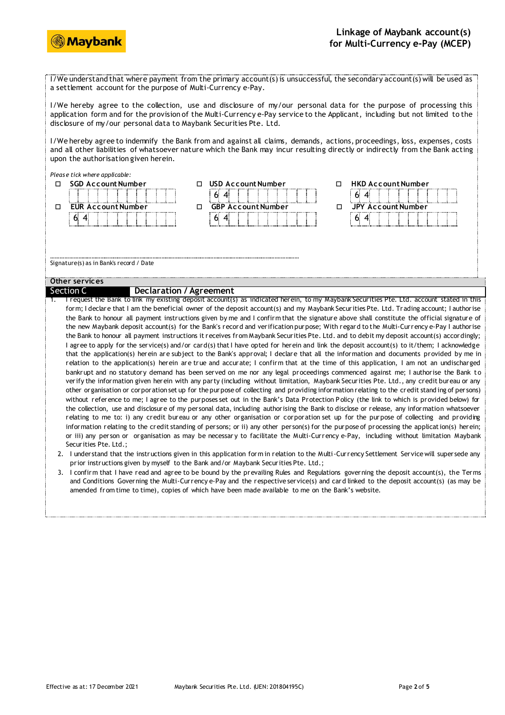



I/We understand that where payment from the primary account(s) is unsuccessful, the secondary account(s) will be used as a settlement account for the purpose of Multi-Currency e-Pay.

I/We hereby agree to the collection, use and disclosure of my/our personal data for the purpose of processing this application form and for the provision of the Multi-Currency e-Pay service to the Applicant, including but not limited to the disclosure of my/our personal data to Maybank Securities Pte. Ltd.

I/We hereby agree to indemnify the Bank from and against all claims, demands, actions, proceedings, loss, expenses, costs and all other liabilities of whatsoever nature which the Bank may incur resulting directly or indirectly from the Bank acting upon the authorisation given herein.

|                                             | Please tick where applicable:                                                                                                                |   |                           |   |                                                                                                                                           |  |  |  |
|---------------------------------------------|----------------------------------------------------------------------------------------------------------------------------------------------|---|---------------------------|---|-------------------------------------------------------------------------------------------------------------------------------------------|--|--|--|
| п                                           | <b>SGD Account Number</b>                                                                                                                    |   | <b>USD Account Number</b> | □ | <b>HKD Account Number</b>                                                                                                                 |  |  |  |
|                                             |                                                                                                                                              |   | 6.                        |   | 6.                                                                                                                                        |  |  |  |
| п                                           | <b>EUR Account Number</b>                                                                                                                    | п | <b>GBP Account Number</b> | п | <b>JPY Account Number</b>                                                                                                                 |  |  |  |
|                                             | 6.<br>4                                                                                                                                      |   | 6.                        |   | 6                                                                                                                                         |  |  |  |
|                                             |                                                                                                                                              |   |                           |   |                                                                                                                                           |  |  |  |
|                                             |                                                                                                                                              |   |                           |   |                                                                                                                                           |  |  |  |
| Signature(s) as in Bank's record / Date     |                                                                                                                                              |   |                           |   |                                                                                                                                           |  |  |  |
|                                             |                                                                                                                                              |   |                           |   |                                                                                                                                           |  |  |  |
| Other services                              |                                                                                                                                              |   |                           |   |                                                                                                                                           |  |  |  |
| Section C<br><b>Declaration / Agreement</b> |                                                                                                                                              |   |                           |   |                                                                                                                                           |  |  |  |
|                                             | I request the Bank to link my existing deposit account(s) as indicated herein, to my Maybank Securities Pte. Ltd. account stated in this     |   |                           |   |                                                                                                                                           |  |  |  |
|                                             | form; I declare that I am the beneficial owner of the deposit account(s) and my Maybank Securities Pte. Ltd. Trading account; I authorise    |   |                           |   |                                                                                                                                           |  |  |  |
|                                             |                                                                                                                                              |   |                           |   | the Bank to honour all payment instructions given by me and I confirm that the signature above shall constitute the official signature of |  |  |  |
|                                             |                                                                                                                                              |   |                           |   | the new Maybank deposit account(s) for the Bank's record and verification purpose; With regard to the Multi-Currency e-Pay I authorise    |  |  |  |
|                                             |                                                                                                                                              |   |                           |   | the Bank to honour all payment instructions it receives from Maybank Securities Pte. Ltd. and to debit my deposit account(s) accordingly; |  |  |  |
|                                             | I agree to apply for the service(s) and/or card(s) that I have opted for herein and link the deposit account(s) to it/them; I acknowledge    |   |                           |   |                                                                                                                                           |  |  |  |
|                                             | that the application(s) herein are subject to the Bank's approval; I declare that all the information and documents provided by me in        |   |                           |   |                                                                                                                                           |  |  |  |
|                                             | relation to the application(s) herein are true and accurate; I confirm that at the time of this application, I am not an undischarged        |   |                           |   |                                                                                                                                           |  |  |  |
|                                             | bankrupt and no statutory demand has been served on me nor any legal proceedings commenced against me; I authorise the Bank to               |   |                           |   |                                                                                                                                           |  |  |  |
|                                             | verify the information given herein with any party (including without limitation, Maybank Securities Pte. Ltd., any credit bureau or any     |   |                           |   |                                                                                                                                           |  |  |  |
|                                             | other organisation or corporation set up for the purpose of collecting and providing information relating to the credit standing of persons) |   |                           |   |                                                                                                                                           |  |  |  |
|                                             |                                                                                                                                              |   |                           |   | without reference to me: I agree to the purposes set out in the Bank's Data Protection Policy (the link to which is provided below) for   |  |  |  |

- the collection, use and disclosure of my personal data, including authorising the Bank to disclose or release, any information whatsoever relating to me to: i) any credit bureau or any other organisation or corporation set up for the purpose of collecting and providing information relating to the credit standing of persons; or ii) any other person(s) for the purpose of processing the application(s) herein; or iii) any person or organisation as may be necessar y to facilitate the Multi-Currency e-Pay, including without limitation Maybank Securities Pte. Ltd.;
- 2. I understand that the instructions given in this application form in relation to the Multi-Currency Settlement Service will supersede any prior instructions given by myself to the Bank and/or Maybank Securities Pte. Ltd.;
- 3. I confirm that I have read and agree to be bound by the prevailing Rules and Regulations governing the deposit account(s), the Terms and Conditions Governing the Multi-Currency e-Pay and the respective service(s) and card linked to the deposit account(s) (as may be amended from time to time), copies of which have been made available to me on the Bank's website.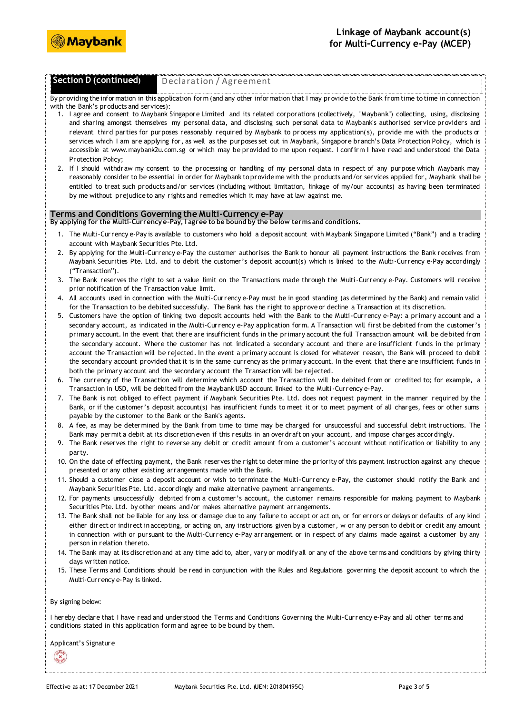

# **Section D (continued)** Declaration / Agreement

By providing the information in this application form (and any other information that I may provide to the Bank from time to time in connection with the Bank's products and services):

- 1. I agree and consent to Maybank Singapore Limited and its related corporations (collectively, "Maybank") collecting, using, disclosing and sharing amongst themselves my personal data, and disclosing such personal data to Maybank's authorised service providers and relevant third parties for purposes reasonably required by Maybank to process my application( s), provide me with the products or services which I am are applying for, as well as the purposes set out in Maybank, Singapore branch's Data Protection Policy, which is accessible at www.maybank2u.com.sg or which may be provided to me upon request. I confirm I have read and understood the Data Protection Policy;
- 2. If I should withdraw my consent to the processing or handling of my personal data in respect of any purpose which Maybank may reasonably consider to be essential in order for Maybank to provide me with the products and/or services applied for, Maybank shall be entitled to treat such products and/or services (including without limitation, linkage of my/our accounts) as having been terminated by me without prejudice to any rights and remedies which it may have at law against me.

### **Terms and Conditions Governing the Multi-Currency e-Pay**

**By applying for the Multi-Currency e-Pay, I agree to be bound by the below terms and conditions.**

- 1. The Multi-Currency e-Pay is available to customers who hold a deposit account with Maybank Singapore Limited ("Bank") and a trading account with Maybank Securities Pte. Ltd.
- 2. By applying for the Multi-Currency e-Pay the customer authorises the Bank to honour all payment instructions the Bank receives from Maybank Securities Pte. Ltd. and to debit the customer's deposit account(s) which is linked to the Multi-Currency e-Pay accordingly ("Transaction").
- 3. The Bank reserves the right to set a value limit on the Transactions made through the Multi-Currency e-Pay. Customers will receive prior notification of the Transaction value limit.
- 4. All accounts used in connection with the Multi-Currency e-Pay must be in good standing (as determined by the Bank) and remain valid for the Transaction to be debited successfully. The Bank has the right to approve or decline a Transaction at its discreti on.
- 5. Customers have the option of linking two deposit accounts held with the Bank to the Multi-Currency e-Pay: a primary account and a secondary account, as indicated in the Multi-Currency e-Pay application form. A Transaction will first be debited from the customer's primary account. In the event that there are insufficient funds in the primary account the full Transaction amount will be debited from the secondary account. Where the customer has not indicated a secondary account and there are insufficient f unds in the primary account the Transaction will be rejected. In the event a primary account is closed for whatever reason, the Bank will proceed to debit the secondary account provided that it is in the same currency as the primary account. In the event that there are insufficient funds in both the primary account and the secondary account the Transaction will be rejected.
- 6. The currency of the Transaction will determine which account the Transaction will be debited from or credited to; for example, a Transaction in USD, will be debited from the Maybank USD account linked to the Multi-Currency e-Pay.
- 7. The Bank is not obliged to effect payment if Maybank Securities Pte. Ltd. does not request payment in the manner required by the Bank, or if the customer's deposit account(s) has insufficient funds to meet it or to meet payment of all charges, fees or other sums payable by the customer to the Bank or the Bank's agents.
- 8. A fee, as may be determined by the Bank from time to time may be charged for unsuccessful and successful debit instructions. The Bank may permit a debit at its discretion even if this results in an overdraft on your account, and impose charges accordingly.
- 9. The Bank reserves the right to reverse any debit or credit amount from a customer's account without notification or liability to any party.
- 10. On the date of effecting payment, the Bank reserves the right to determine the priority of this payment instruction against any cheque presented or any other existing arrangements made with the Bank.
- 11. Should a customer close a deposit account or wish to terminate the Multi-Currency e-Pay, the customer should notify the Bank and Maybank Securities Pte. Ltd. accordingly and make alternative payment arrangements.
- 12. For payments unsuccessfully debited from a customer's account, the customer remains responsible for making payment to Maybank Securities Pte. Ltd. by other means and/or makes alternative payment arrangements.
- 13. The Bank shall not be liable for any loss or damage due to any failure to accept or act on, or for errors or delays or defaults of any kind either direct or indirect in accepting, or acting on, any instructions given by a customer, w or any person to debit or credit any amount in connection with or pursuant to the Multi-Currency e-Pay arrangement or in respect of any claims made against a customer by any person in relation thereto.
- 14. The Bank may at its discretion and at any time add to, alter, vary or modify all or any of the above terms and conditions by giving thirty days written notice.
- 15. These Terms and Conditions should be read in conjunction with the Rules and Regulations governing the deposit account to which the Multi-Currency e-Pay is linked.

#### By signing below:

I hereby declare that I have read and understood the Terms and Conditions Governing the Multi-Currency e-Pay and all other terms and conditions stated in this application form and agree to be bound by them.

Applicant's Signature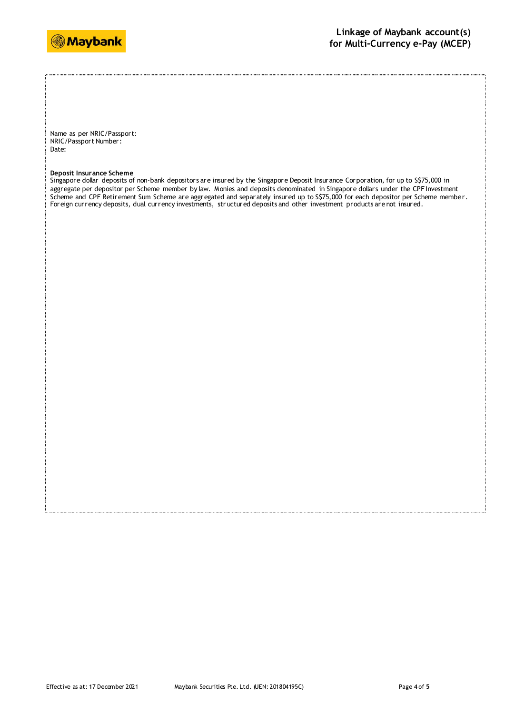

Name as per NRIC/Passport: NRIC/Passport Number: Date:

#### **Deposit Insurance Scheme**

Singapore dollar deposits of non-bank depositors are insured by the Singapore Deposit Insurance Corporation, for up to S\$75,000 in aggregate per depositor per Scheme member by law. Monies and deposits denominated in Singapore dollars under the CPF Investment Scheme and CPF Retirement Sum Scheme are aggregated and separately insured up to S\$75,000 for each depositor per Scheme member. Foreign currency deposits, dual currency investments, str uctured deposits and other investment products are not insured.